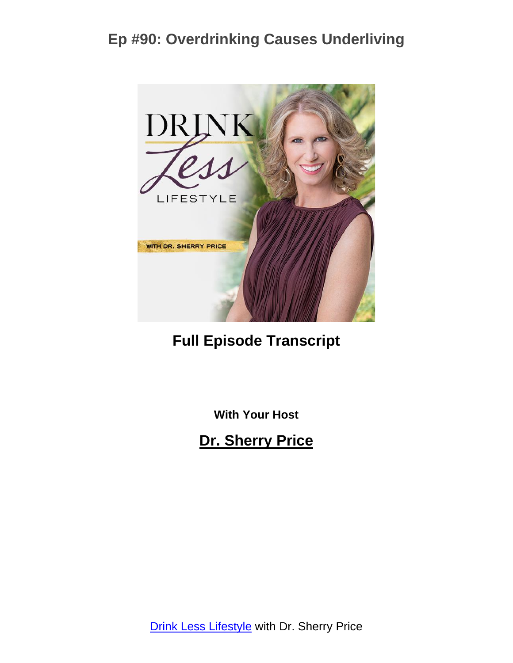

### **Full Episode Transcript**

**With Your Host**

**Dr. Sherry Price**

**Drink Less [Lifestyle](https://sherryprice.com/podcast) with Dr. Sherry Price**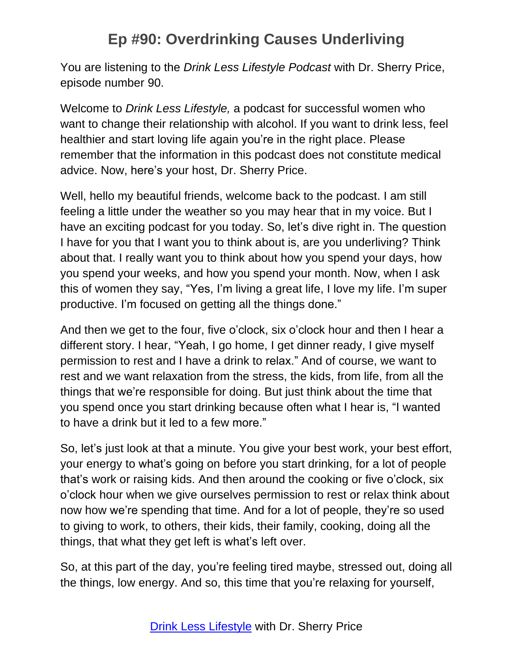You are listening to the *Drink Less Lifestyle Podcast* with Dr. Sherry Price, episode number 90.

Welcome to *Drink Less Lifestyle,* a podcast for successful women who want to change their relationship with alcohol. If you want to drink less, feel healthier and start loving life again you're in the right place. Please remember that the information in this podcast does not constitute medical advice. Now, here's your host, Dr. Sherry Price.

Well, hello my beautiful friends, welcome back to the podcast. I am still feeling a little under the weather so you may hear that in my voice. But I have an exciting podcast for you today. So, let's dive right in. The question I have for you that I want you to think about is, are you underliving? Think about that. I really want you to think about how you spend your days, how you spend your weeks, and how you spend your month. Now, when I ask this of women they say, "Yes, I'm living a great life, I love my life. I'm super productive. I'm focused on getting all the things done."

And then we get to the four, five o'clock, six o'clock hour and then I hear a different story. I hear, "Yeah, I go home, I get dinner ready, I give myself permission to rest and I have a drink to relax." And of course, we want to rest and we want relaxation from the stress, the kids, from life, from all the things that we're responsible for doing. But just think about the time that you spend once you start drinking because often what I hear is, "I wanted to have a drink but it led to a few more."

So, let's just look at that a minute. You give your best work, your best effort, your energy to what's going on before you start drinking, for a lot of people that's work or raising kids. And then around the cooking or five o'clock, six o'clock hour when we give ourselves permission to rest or relax think about now how we're spending that time. And for a lot of people, they're so used to giving to work, to others, their kids, their family, cooking, doing all the things, that what they get left is what's left over.

So, at this part of the day, you're feeling tired maybe, stressed out, doing all the things, low energy. And so, this time that you're relaxing for yourself,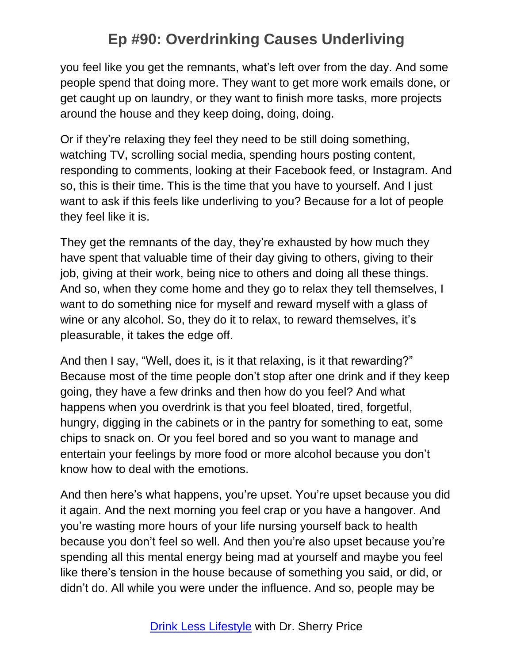you feel like you get the remnants, what's left over from the day. And some people spend that doing more. They want to get more work emails done, or get caught up on laundry, or they want to finish more tasks, more projects around the house and they keep doing, doing, doing.

Or if they're relaxing they feel they need to be still doing something, watching TV, scrolling social media, spending hours posting content, responding to comments, looking at their Facebook feed, or Instagram. And so, this is their time. This is the time that you have to yourself. And I just want to ask if this feels like underliving to you? Because for a lot of people they feel like it is.

They get the remnants of the day, they're exhausted by how much they have spent that valuable time of their day giving to others, giving to their job, giving at their work, being nice to others and doing all these things. And so, when they come home and they go to relax they tell themselves, I want to do something nice for myself and reward myself with a glass of wine or any alcohol. So, they do it to relax, to reward themselves, it's pleasurable, it takes the edge off.

And then I say, "Well, does it, is it that relaxing, is it that rewarding?" Because most of the time people don't stop after one drink and if they keep going, they have a few drinks and then how do you feel? And what happens when you overdrink is that you feel bloated, tired, forgetful, hungry, digging in the cabinets or in the pantry for something to eat, some chips to snack on. Or you feel bored and so you want to manage and entertain your feelings by more food or more alcohol because you don't know how to deal with the emotions.

And then here's what happens, you're upset. You're upset because you did it again. And the next morning you feel crap or you have a hangover. And you're wasting more hours of your life nursing yourself back to health because you don't feel so well. And then you're also upset because you're spending all this mental energy being mad at yourself and maybe you feel like there's tension in the house because of something you said, or did, or didn't do. All while you were under the influence. And so, people may be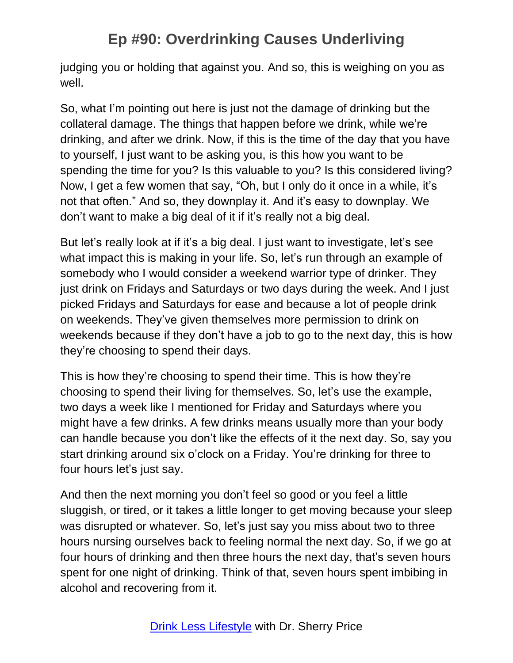judging you or holding that against you. And so, this is weighing on you as well.

So, what I'm pointing out here is just not the damage of drinking but the collateral damage. The things that happen before we drink, while we're drinking, and after we drink. Now, if this is the time of the day that you have to yourself, I just want to be asking you, is this how you want to be spending the time for you? Is this valuable to you? Is this considered living? Now, I get a few women that say, "Oh, but I only do it once in a while, it's not that often." And so, they downplay it. And it's easy to downplay. We don't want to make a big deal of it if it's really not a big deal.

But let's really look at if it's a big deal. I just want to investigate, let's see what impact this is making in your life. So, let's run through an example of somebody who I would consider a weekend warrior type of drinker. They just drink on Fridays and Saturdays or two days during the week. And I just picked Fridays and Saturdays for ease and because a lot of people drink on weekends. They've given themselves more permission to drink on weekends because if they don't have a job to go to the next day, this is how they're choosing to spend their days.

This is how they're choosing to spend their time. This is how they're choosing to spend their living for themselves. So, let's use the example, two days a week like I mentioned for Friday and Saturdays where you might have a few drinks. A few drinks means usually more than your body can handle because you don't like the effects of it the next day. So, say you start drinking around six o'clock on a Friday. You're drinking for three to four hours let's just say.

And then the next morning you don't feel so good or you feel a little sluggish, or tired, or it takes a little longer to get moving because your sleep was disrupted or whatever. So, let's just say you miss about two to three hours nursing ourselves back to feeling normal the next day. So, if we go at four hours of drinking and then three hours the next day, that's seven hours spent for one night of drinking. Think of that, seven hours spent imbibing in alcohol and recovering from it.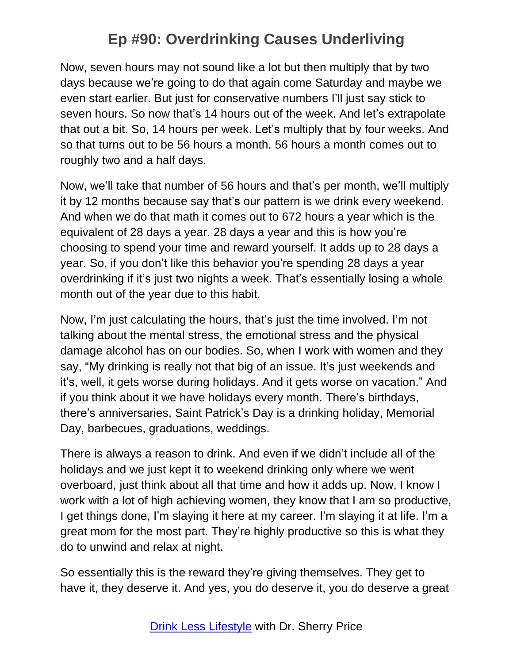Now, seven hours may not sound like a lot but then multiply that by two days because we're going to do that again come Saturday and maybe we even start earlier. But just for conservative numbers I'll just say stick to seven hours. So now that's 14 hours out of the week. And let's extrapolate that out a bit. So, 14 hours per week. Let's multiply that by four weeks. And so that turns out to be 56 hours a month. 56 hours a month comes out to roughly two and a half days.

Now, we'll take that number of 56 hours and that's per month, we'll multiply it by 12 months because say that's our pattern is we drink every weekend. And when we do that math it comes out to 672 hours a year which is the equivalent of 28 days a year. 28 days a year and this is how you're choosing to spend your time and reward yourself. It adds up to 28 days a year. So, if you don't like this behavior you're spending 28 days a year overdrinking if it's just two nights a week. That's essentially losing a whole month out of the year due to this habit.

Now, I'm just calculating the hours, that's just the time involved. I'm not talking about the mental stress, the emotional stress and the physical damage alcohol has on our bodies. So, when I work with women and they say, "My drinking is really not that big of an issue. It's just weekends and it's, well, it gets worse during holidays. And it gets worse on vacation." And if you think about it we have holidays every month. There's birthdays, there's anniversaries, Saint Patrick's Day is a drinking holiday, Memorial Day, barbecues, graduations, weddings.

There is always a reason to drink. And even if we didn't include all of the holidays and we just kept it to weekend drinking only where we went overboard, just think about all that time and how it adds up. Now, I know I work with a lot of high achieving women, they know that I am so productive, I get things done, I'm slaying it here at my career. I'm slaying it at life. I'm a great mom for the most part. They're highly productive so this is what they do to unwind and relax at night.

So essentially this is the reward they're giving themselves. They get to have it, they deserve it. And yes, you do deserve it, you do deserve a great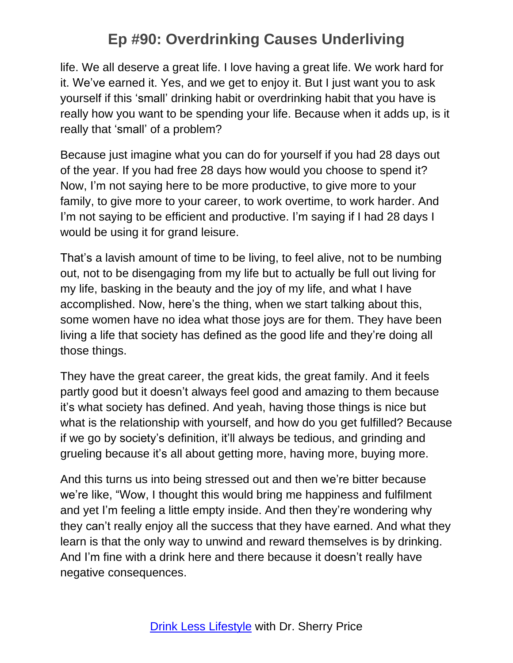life. We all deserve a great life. I love having a great life. We work hard for it. We've earned it. Yes, and we get to enjoy it. But I just want you to ask yourself if this 'small' drinking habit or overdrinking habit that you have is really how you want to be spending your life. Because when it adds up, is it really that 'small' of a problem?

Because just imagine what you can do for yourself if you had 28 days out of the year. If you had free 28 days how would you choose to spend it? Now, I'm not saying here to be more productive, to give more to your family, to give more to your career, to work overtime, to work harder. And I'm not saying to be efficient and productive. I'm saying if I had 28 days I would be using it for grand leisure.

That's a lavish amount of time to be living, to feel alive, not to be numbing out, not to be disengaging from my life but to actually be full out living for my life, basking in the beauty and the joy of my life, and what I have accomplished. Now, here's the thing, when we start talking about this, some women have no idea what those joys are for them. They have been living a life that society has defined as the good life and they're doing all those things.

They have the great career, the great kids, the great family. And it feels partly good but it doesn't always feel good and amazing to them because it's what society has defined. And yeah, having those things is nice but what is the relationship with yourself, and how do you get fulfilled? Because if we go by society's definition, it'll always be tedious, and grinding and grueling because it's all about getting more, having more, buying more.

And this turns us into being stressed out and then we're bitter because we're like, "Wow, I thought this would bring me happiness and fulfilment and yet I'm feeling a little empty inside. And then they're wondering why they can't really enjoy all the success that they have earned. And what they learn is that the only way to unwind and reward themselves is by drinking. And I'm fine with a drink here and there because it doesn't really have negative consequences.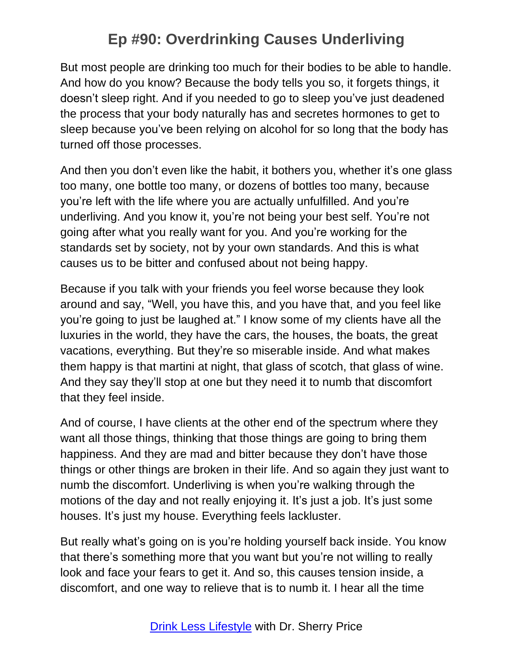But most people are drinking too much for their bodies to be able to handle. And how do you know? Because the body tells you so, it forgets things, it doesn't sleep right. And if you needed to go to sleep you've just deadened the process that your body naturally has and secretes hormones to get to sleep because you've been relying on alcohol for so long that the body has turned off those processes.

And then you don't even like the habit, it bothers you, whether it's one glass too many, one bottle too many, or dozens of bottles too many, because you're left with the life where you are actually unfulfilled. And you're underliving. And you know it, you're not being your best self. You're not going after what you really want for you. And you're working for the standards set by society, not by your own standards. And this is what causes us to be bitter and confused about not being happy.

Because if you talk with your friends you feel worse because they look around and say, "Well, you have this, and you have that, and you feel like you're going to just be laughed at." I know some of my clients have all the luxuries in the world, they have the cars, the houses, the boats, the great vacations, everything. But they're so miserable inside. And what makes them happy is that martini at night, that glass of scotch, that glass of wine. And they say they'll stop at one but they need it to numb that discomfort that they feel inside.

And of course, I have clients at the other end of the spectrum where they want all those things, thinking that those things are going to bring them happiness. And they are mad and bitter because they don't have those things or other things are broken in their life. And so again they just want to numb the discomfort. Underliving is when you're walking through the motions of the day and not really enjoying it. It's just a job. It's just some houses. It's just my house. Everything feels lackluster.

But really what's going on is you're holding yourself back inside. You know that there's something more that you want but you're not willing to really look and face your fears to get it. And so, this causes tension inside, a discomfort, and one way to relieve that is to numb it. I hear all the time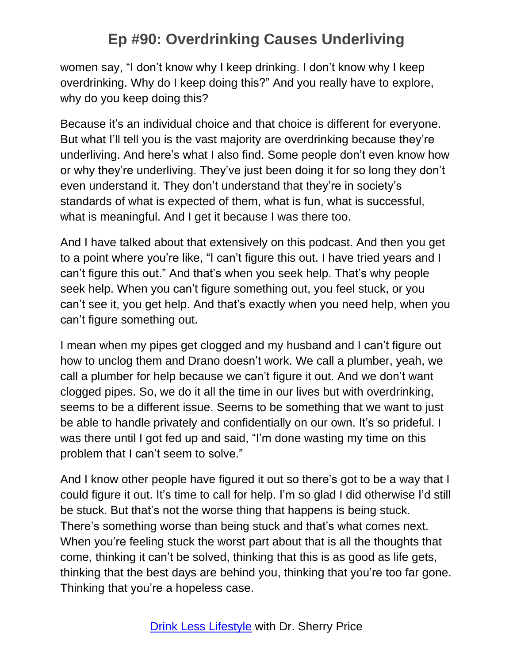women say, "I don't know why I keep drinking. I don't know why I keep overdrinking. Why do I keep doing this?" And you really have to explore, why do you keep doing this?

Because it's an individual choice and that choice is different for everyone. But what I'll tell you is the vast majority are overdrinking because they're underliving. And here's what I also find. Some people don't even know how or why they're underliving. They've just been doing it for so long they don't even understand it. They don't understand that they're in society's standards of what is expected of them, what is fun, what is successful, what is meaningful. And I get it because I was there too.

And I have talked about that extensively on this podcast. And then you get to a point where you're like, "I can't figure this out. I have tried years and I can't figure this out." And that's when you seek help. That's why people seek help. When you can't figure something out, you feel stuck, or you can't see it, you get help. And that's exactly when you need help, when you can't figure something out.

I mean when my pipes get clogged and my husband and I can't figure out how to unclog them and Drano doesn't work. We call a plumber, yeah, we call a plumber for help because we can't figure it out. And we don't want clogged pipes. So, we do it all the time in our lives but with overdrinking, seems to be a different issue. Seems to be something that we want to just be able to handle privately and confidentially on our own. It's so prideful. I was there until I got fed up and said, "I'm done wasting my time on this problem that I can't seem to solve."

And I know other people have figured it out so there's got to be a way that I could figure it out. It's time to call for help. I'm so glad I did otherwise I'd still be stuck. But that's not the worse thing that happens is being stuck. There's something worse than being stuck and that's what comes next. When you're feeling stuck the worst part about that is all the thoughts that come, thinking it can't be solved, thinking that this is as good as life gets, thinking that the best days are behind you, thinking that you're too far gone. Thinking that you're a hopeless case.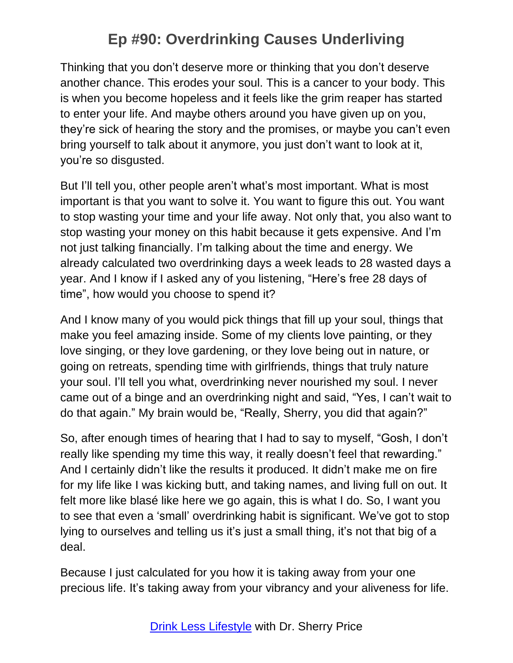Thinking that you don't deserve more or thinking that you don't deserve another chance. This erodes your soul. This is a cancer to your body. This is when you become hopeless and it feels like the grim reaper has started to enter your life. And maybe others around you have given up on you, they're sick of hearing the story and the promises, or maybe you can't even bring yourself to talk about it anymore, you just don't want to look at it, you're so disgusted.

But I'll tell you, other people aren't what's most important. What is most important is that you want to solve it. You want to figure this out. You want to stop wasting your time and your life away. Not only that, you also want to stop wasting your money on this habit because it gets expensive. And I'm not just talking financially. I'm talking about the time and energy. We already calculated two overdrinking days a week leads to 28 wasted days a year. And I know if I asked any of you listening, "Here's free 28 days of time", how would you choose to spend it?

And I know many of you would pick things that fill up your soul, things that make you feel amazing inside. Some of my clients love painting, or they love singing, or they love gardening, or they love being out in nature, or going on retreats, spending time with girlfriends, things that truly nature your soul. I'll tell you what, overdrinking never nourished my soul. I never came out of a binge and an overdrinking night and said, "Yes, I can't wait to do that again." My brain would be, "Really, Sherry, you did that again?"

So, after enough times of hearing that I had to say to myself, "Gosh, I don't really like spending my time this way, it really doesn't feel that rewarding." And I certainly didn't like the results it produced. It didn't make me on fire for my life like I was kicking butt, and taking names, and living full on out. It felt more like blasé like here we go again, this is what I do. So, I want you to see that even a 'small' overdrinking habit is significant. We've got to stop lying to ourselves and telling us it's just a small thing, it's not that big of a deal.

Because I just calculated for you how it is taking away from your one precious life. It's taking away from your vibrancy and your aliveness for life.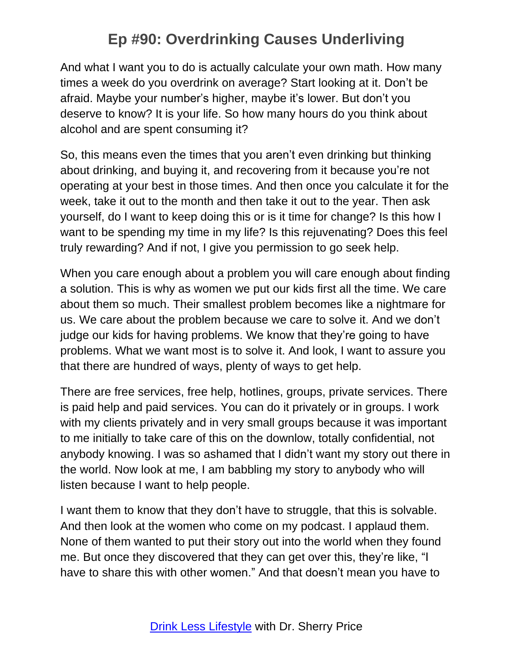And what I want you to do is actually calculate your own math. How many times a week do you overdrink on average? Start looking at it. Don't be afraid. Maybe your number's higher, maybe it's lower. But don't you deserve to know? It is your life. So how many hours do you think about alcohol and are spent consuming it?

So, this means even the times that you aren't even drinking but thinking about drinking, and buying it, and recovering from it because you're not operating at your best in those times. And then once you calculate it for the week, take it out to the month and then take it out to the year. Then ask yourself, do I want to keep doing this or is it time for change? Is this how I want to be spending my time in my life? Is this rejuvenating? Does this feel truly rewarding? And if not, I give you permission to go seek help.

When you care enough about a problem you will care enough about finding a solution. This is why as women we put our kids first all the time. We care about them so much. Their smallest problem becomes like a nightmare for us. We care about the problem because we care to solve it. And we don't judge our kids for having problems. We know that they're going to have problems. What we want most is to solve it. And look, I want to assure you that there are hundred of ways, plenty of ways to get help.

There are free services, free help, hotlines, groups, private services. There is paid help and paid services. You can do it privately or in groups. I work with my clients privately and in very small groups because it was important to me initially to take care of this on the downlow, totally confidential, not anybody knowing. I was so ashamed that I didn't want my story out there in the world. Now look at me, I am babbling my story to anybody who will listen because I want to help people.

I want them to know that they don't have to struggle, that this is solvable. And then look at the women who come on my podcast. I applaud them. None of them wanted to put their story out into the world when they found me. But once they discovered that they can get over this, they're like, "I have to share this with other women." And that doesn't mean you have to